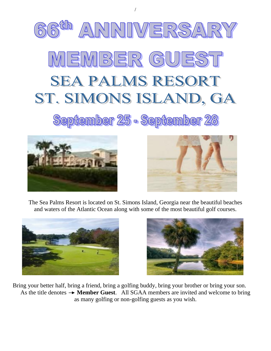

/





The Sea Palms Resort is located on St. Simons Island, Georgia near the beautiful beaches and waters of the Atlantic Ocean along with some of the most beautiful golf courses.





Bring your better half, bring a friend, bring a golfing buddy, bring your brother or bring your son. As the title denotes  $\rightarrow$  **Member Guest**. All SGAA members are invited and welcome to bring as many golfing or non-golfing guests as you wish.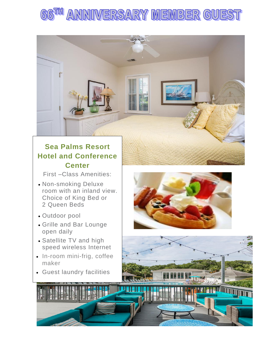

# **Sea Palms Resort Hotel and Conference Center**

First –Class Amenities:

- Non-smoking Deluxe room with an inland view. Choice of King Bed or 2 Queen Beds
- Outdoor pool
- • Grille and Bar Lounge open daily
- Satellite TV and high speed wireless Internet
- In-room mini-frig, coffee maker
- Guest laundry facilities